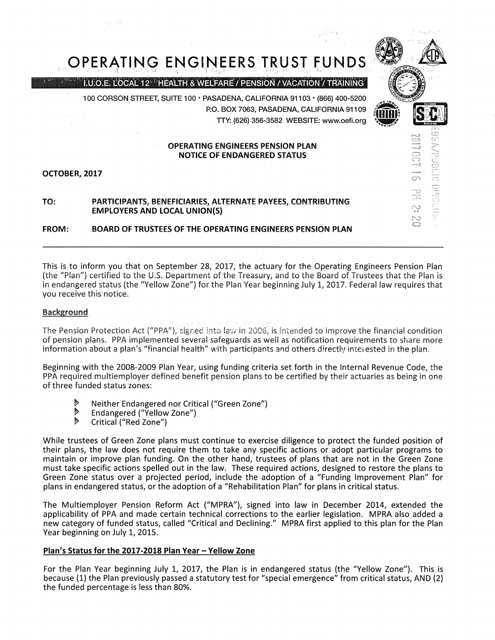

This is to inform you that on September 28, 2017, the actuary for the Operating Engineers Pension Plan (the "Plan") certified to the U.S. Department of the Treasury, and to the Board of Trustees that the Plan is in endangered status (the "Yellow Zone") for the Plan Year beginning July 1, 2017. Federal law requires that you receive this notice.

## Background

The Pension Protection Act ("PPA"), signed into law in 2006, is intended to improve the financial condition of pension plans. PPA implemented several safeguards as well as notification requirements to share more information about a plan's "financial health" with participants and others directly interested in the plan.

Beginning with the 2008-2009 Plan Year, using funding criteria set forth in the Internal Revenue Code, the PPA required multiemployer defined benefit pension plans to be certified by their actuaries as being in one of three funded status zones:

- $\triangleright$ Neither Endangered nor Critical ("Green Zone")
- $\triangleright$ Endangered ("Yellow Zone")
- $\triangleright$ Critical ("Red Zone")

While trustees of Green Zone plans must continue to exercise diligence to protect the funded position of their plans, the law does not require them to take any specific actions or adopt particular programs to maintain or improve plan funding. On the other hand, trustees of plans that are not in the Green Zone must take specific actions spelled out in the law. These required actions, designed to restore the plans to Green Zone status over a projected period, include the adoption of a "Funding Improvement Plan" for plans in endangered status, or the adoption of a "Rehabilitation Plan" for plans in critical status.

The Multiemployer Pension Reform Act ("MPRA"), signed into law in December 2014, extended the applicability of PPA and made certain technical corrections to the earlier legislation. MPRA also added a new category of funded status, called "Critical and Declining." MPRA first applied to this plan for the Plan Year beginning on July 1, 2015.

## Plan's Status for the 2017-2018 Plan Year - Yellow Zone

For the Plan Year beginning July 1, 2017, the Plan is in endangered status (the "Yellow Zone"). This is because (1) the Plan previously passed a statutory test for "special emergence" from critical status, AND (2) the funded percentage is less than 80%.